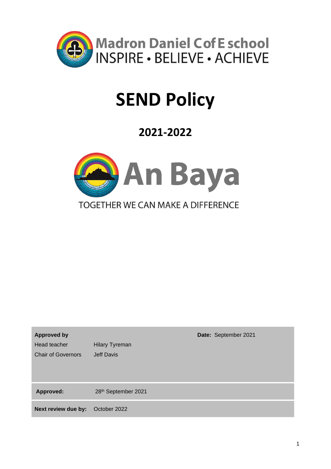

# **SEND Policy**

## **2021-2022**



| <b>Approved by</b>        |                       | Date: September 2021 |
|---------------------------|-----------------------|----------------------|
| Head teacher              | <b>Hilary Tyreman</b> |                      |
| <b>Chair of Governors</b> | Jeff Davis            |                      |
| <b>Approved:</b>          | 28th September 2021   |                      |
| Next review due by:       | October 2022          |                      |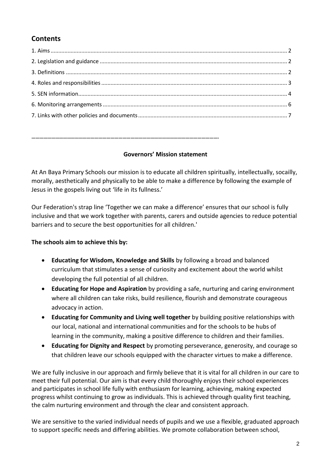## **Contents**

### **Governors' Mission statement**

**…………………………………………………………………………………………………………………………….**

At An Baya Primary Schools our mission is to educate all children spiritually, intellectually, socailly, morally, aesthetically and physically to be able to make a difference by following the example of Jesus in the gospels living out 'life in its fullness.'

Our Federation's strap line 'Together we can make a difference' ensures that our school is fully inclusive and that we work together with parents, carers and outside agencies to reduce potential barriers and to secure the best opportunities for all children.'

## **The schools aim to achieve this by:**

- **Educating for Wisdom, Knowledge and Skills** by following a broad and balanced curriculum that stimulates a sense of curiosity and excitement about the world whilst developing the full potential of all children.
- **Educating for Hope and Aspiration** by providing a safe, nurturing and caring environment where all children can take risks, build resilience, flourish and demonstrate courageous advocacy in action.
- **Educating for Community and Living well together** by building positive relationships with our local, national and international communities and for the schools to be hubs of learning in the community, making a positive difference to children and their families.
- **Educating for Dignity and Respect** by promoting perseverance, generosity, and courage so that children leave our schools equipped with the character virtues to make a difference.

We are fully inclusive in our approach and firmly believe that it is vital for all children in our care to meet their full potential. Our aim is that every child thoroughly enjoys their school experiences and participates in school life fully with enthusiasm for learning, achieving, making expected progress whilst continuing to grow as individuals. This is achieved through quality first teaching, the calm nurturing environment and through the clear and consistent approach.

We are sensitive to the varied individual needs of pupils and we use a flexible, graduated approach to support specific needs and differing abilities. We promote collaboration between school,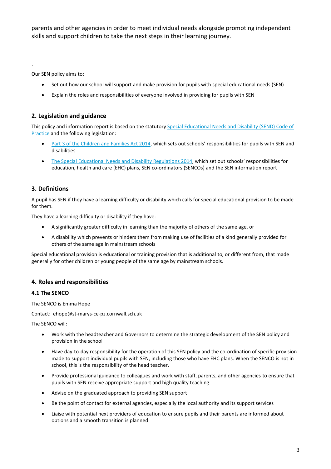parents and other agencies in order to meet individual needs alongside promoting independent skills and support children to take the next steps in their learning journey.

Our SEN policy aims to:

.

- Set out how our school will support and make provision for pupils with special educational needs (SEN)
- Explain the roles and responsibilities of everyone involved in providing for pupils with SEN

#### **2. Legislation and guidance**

This policy and information report is based on the statutor[y Special Educational Needs and Disability \(SEND\) Code of](https://www.gov.uk/government/uploads/system/uploads/attachment_data/file/398815/SEND_Code_of_Practice_January_2015.pdf)  [Practice](https://www.gov.uk/government/uploads/system/uploads/attachment_data/file/398815/SEND_Code_of_Practice_January_2015.pdf) and the following legislation:

- [Part 3 of the Children and Families Act 2014,](http://www.legislation.gov.uk/ukpga/2014/6/part/3) which sets out schools' responsibilities for pupils with SEN and disabilities
- [The Special Educational Needs and Disability Regulations 2014,](http://www.legislation.gov.uk/uksi/2014/1530/contents/made) which set out schools' responsibilities for education, health and care (EHC) plans, SEN co-ordinators (SENCOs) and the SEN information report

#### **3. Definitions**

A pupil has SEN if they have a learning difficulty or disability which calls for special educational provision to be made for them.

They have a learning difficulty or disability if they have:

- A significantly greater difficulty in learning than the majority of others of the same age, or
- A disability which prevents or hinders them from making use of facilities of a kind generally provided for others of the same age in mainstream schools

Special educational provision is educational or training provision that is additional to, or different from, that made generally for other children or young people of the same age by mainstream schools.

#### **4. Roles and responsibilities**

#### **4.1 The SENCO**

The SENCO is Emma Hope

Contact: ehope@st-marys-ce-pz.cornwall.sch.uk

The SENCO will:

- Work with the headteacher and Governors to determine the strategic development of the SEN policy and provision in the school
- Have day-to-day responsibility for the operation of this SEN policy and the co-ordination of specific provision made to support individual pupils with SEN, including those who have EHC plans. When the SENCO is not in school, this is the responsibility of the head teacher.
- Provide professional guidance to colleagues and work with staff, parents, and other agencies to ensure that pupils with SEN receive appropriate support and high quality teaching
- Advise on the graduated approach to providing SEN support
- Be the point of contact for external agencies, especially the local authority and its support services
- Liaise with potential next providers of education to ensure pupils and their parents are informed about options and a smooth transition is planned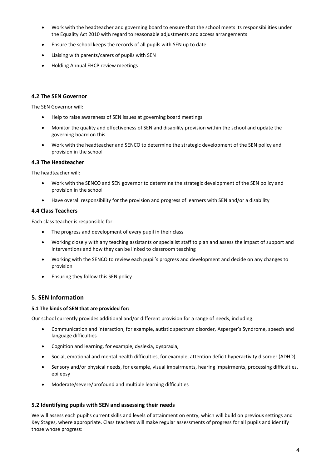- Work with the headteacher and governing board to ensure that the school meets its responsibilities under the Equality Act 2010 with regard to reasonable adjustments and access arrangements
- Ensure the school keeps the records of all pupils with SEN up to date
- Liaising with parents/carers of pupils with SEN
- Holding Annual EHCP review meetings

#### **4.2 The SEN Governor**

The SEN Governor will:

- Help to raise awareness of SEN issues at governing board meetings
- Monitor the quality and effectiveness of SEN and disability provision within the school and update the governing board on this
- Work with the headteacher and SENCO to determine the strategic development of the SEN policy and provision in the school

#### **4.3 The Headteacher**

The headteacher will:

- Work with the SENCO and SEN governor to determine the strategic development of the SEN policy and provision in the school
- Have overall responsibility for the provision and progress of learners with SEN and/or a disability

#### **4.4 Class Teachers**

Each class teacher is responsible for:

- The progress and development of every pupil in their class
- Working closely with any teaching assistants or specialist staff to plan and assess the impact of support and interventions and how they can be linked to classroom teaching
- Working with the SENCO to review each pupil's progress and development and decide on any changes to provision
- Ensuring they follow this SEN policy

#### **5. SEN Information**

#### **5.1 The kinds of SEN that are provided for:**

Our school currently provides additional and/or different provision for a range of needs, including:

- Communication and interaction, for example, autistic spectrum disorder, Asperger's Syndrome, speech and language difficulties
- Cognition and learning, for example, dyslexia, dyspraxia,
- Social, emotional and mental health difficulties, for example, attention deficit hyperactivity disorder (ADHD),
- Sensory and/or physical needs, for example, visual impairments, hearing impairments, processing difficulties, epilepsy
- Moderate/severe/profound and multiple learning difficulties

#### **5.2 Identifying pupils with SEN and assessing their needs**

We will assess each pupil's current skills and levels of attainment on entry, which will build on previous settings and Key Stages, where appropriate. Class teachers will make regular assessments of progress for all pupils and identify those whose progress: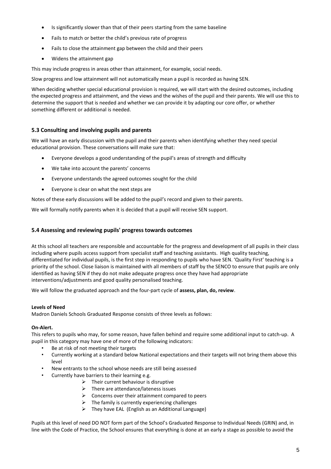- Is significantly slower than that of their peers starting from the same baseline
- Fails to match or better the child's previous rate of progress
- Fails to close the attainment gap between the child and their peers
- Widens the attainment gap

This may include progress in areas other than attainment, for example, social needs.

Slow progress and low attainment will not automatically mean a pupil is recorded as having SEN.

When deciding whether special educational provision is required, we will start with the desired outcomes, including the expected progress and attainment, and the views and the wishes of the pupil and their parents. We will use this to determine the support that is needed and whether we can provide it by adapting our core offer, or whether something different or additional is needed.

#### **5.3 Consulting and involving pupils and parents**

We will have an early discussion with the pupil and their parents when identifying whether they need special educational provision. These conversations will make sure that:

- Everyone develops a good understanding of the pupil's areas of strength and difficulty
- We take into account the parents' concerns
- Everyone understands the agreed outcomes sought for the child
- Everyone is clear on what the next steps are

Notes of these early discussions will be added to the pupil's record and given to their parents.

We will formally notify parents when it is decided that a pupil will receive SEN support.

#### **5.4 Assessing and reviewing pupils' progress towards outcomes**

At this school all teachers are responsible and accountable for the progress and development of all pupils in their class including where pupils access support from specialist staff and teaching assistants. High quality teaching, differentiated for individual pupils, is the first step in responding to pupils who have SEN. 'Quality First' teaching is a priority of the school. Close liaison is maintained with all members of staff by the SENCO to ensure that pupils are only identified as having SEN if they do not make adequate progress once they have had appropriate interventions/adjustments and good quality personalised teaching.

We will follow the graduated approach and the four-part cycle of **assess, plan, do, review**.

#### **Levels of Need**

Madron Daniels Schools Graduated Response consists of three levels as follows:

#### **On-Alert.**

This refers to pupils who may, for some reason, have fallen behind and require some additional input to catch-up. A pupil in this category may have one of more of the following indicators:

- Be at risk of not meeting their targets
- Currently working at a standard below National expectations and their targets will not bring them above this level
- New entrants to the school whose needs are still being assessed
- Currently have barriers to their learning e.g.
	- $\triangleright$  Their current behaviour is disruptive
	- ➢ There are attendance/lateness issues
	- $\triangleright$  Concerns over their attainment compared to peers
	- $\triangleright$  The family is currently experiencing challenges
	- ➢ They have EAL (English as an Additional Language)

Pupils at this level of need DO NOT form part of the School's Graduated Response to Individual Needs (GRIN) and, in line with the Code of Practice, the School ensures that everything is done at an early a stage as possible to avoid the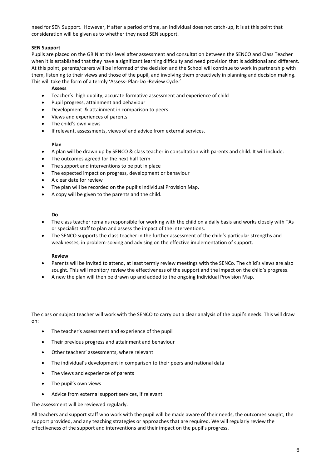need for SEN Support. However, if after a period of time, an individual does not catch-up, it is at this point that consideration will be given as to whether they need SEN support.

#### **SEN Support**

Pupils are placed on the GRIN at this level after assessment and consultation between the SENCO and Class Teacher when it is established that they have a significant learning difficulty and need provision that is additional and different. At this point, parents/carers will be informed of the decision and the School will continue to work in partnership with them, listening to their views and those of the pupil, and involving them proactively in planning and decision making. This will take the form of a termly 'Assess- Plan-Do -Review Cycle.'

#### **Assess**

- Teacher's high quality, accurate formative assessment and experience of child
- Pupil progress, attainment and behaviour
- Development & attainment in comparison to peers
- Views and experiences of parents
- The child's own views
- If relevant, assessments, views of and advice from external services.

#### **Plan**

- A plan will be drawn up by SENCO & class teacher in consultation with parents and child. It will include:
- The outcomes agreed for the next half term
- The support and interventions to be put in place
- The expected impact on progress, development or behaviour
- A clear date for review
- The plan will be recorded on the pupil's Individual Provision Map.
- A copy will be given to the parents and the child.

#### **Do**

- The class teacher remains responsible for working with the child on a daily basis and works closely with TAs or specialist staff to plan and assess the impact of the interventions.
- The SENCO supports the class teacher in the further assessment of the child's particular strengths and weaknesses, in problem-solving and advising on the effective implementation of support.

#### **Review**

- Parents will be invited to attend, at least termly review meetings with the SENCo. The child's views are also sought. This will monitor/ review the effectiveness of the support and the impact on the child's progress.
- A new the plan will then be drawn up and added to the ongoing Individual Provision Map.

The class or subject teacher will work with the SENCO to carry out a clear analysis of the pupil's needs. This will draw on:

- The teacher's assessment and experience of the pupil
- Their previous progress and attainment and behaviour
- Other teachers' assessments, where relevant
- The individual's development in comparison to their peers and national data
- The views and experience of parents
- The pupil's own views
- Advice from external support services, if relevant

The assessment will be reviewed regularly.

All teachers and support staff who work with the pupil will be made aware of their needs, the outcomes sought, the support provided, and any teaching strategies or approaches that are required. We will regularly review the effectiveness of the support and interventions and their impact on the pupil's progress.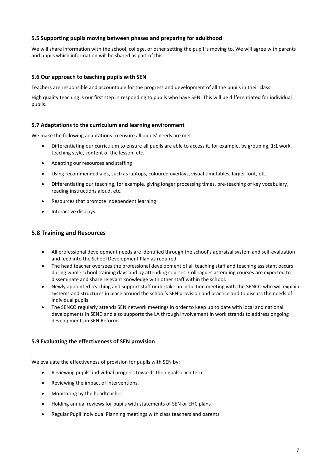#### **5.5 Supporting pupils moving between phases and preparing for adulthood**

We will share information with the school, college, or other setting the pupil is moving to. We will agree with parents and pupils which information will be shared as part of this.

#### **5.6 Our approach to teaching pupils with SEN**

Teachers are responsible and accountable for the progress and development of all the pupils in their class.

High quality teaching is our first step in responding to pupils who have SEN. This will be differentiated for individual pupils.

#### **5.7 Adaptations to the curriculum and learning environment**

We make the following adaptations to ensure all pupils' needs are met:

- Differentiating our curriculum to ensure all pupils are able to access it, for example, by grouping, 1:1 work, teaching style, content of the lesson, etc.
- Adapting our resources and staffing
- Using recommended aids, such as laptops, coloured overlays, visual timetables, larger font, etc.
- Differentiating our teaching, for example, giving longer processing times, pre-teaching of key vocabulary, reading instructions aloud, etc.
- Resources that promote independent learning
- Interactive displays

#### **5.8 Training and Resources**

- All professional development needs are identified through the school's appraisal system and self-evaluation and feed into the School Development Plan as required.
- The head teacher oversees the professional development of all teaching staff and teaching assistant occurs during whole school training days and by attending courses. Colleagues attending courses are expected to disseminate and share relevant knowledge with other staff within the school.
- Newly appointed teaching and support staff undertake an induction meeting with the SENCO who will explain systems and structures in place around the school's SEN provision and practice and to discuss the needs of individual pupils.
- The SENCO regularly attends SEN network meetings in order to keep up to date with local and national developments in SEND and also supports the LA through involvement in work strands to address ongoing developments in SEN Reforms.

#### **5.9 Evaluating the effectiveness of SEN provision**

We evaluate the effectiveness of provision for pupils with SEN by:

- Reviewing pupils' individual progress towards their goals each term
- Reviewing the impact of interventions.
- Monitoring by the headteacher

*.*

- Holding annual reviews for pupils with statements of SEN or EHC plans
- Regular Pupil individual Planning meetings with class teachers and parents